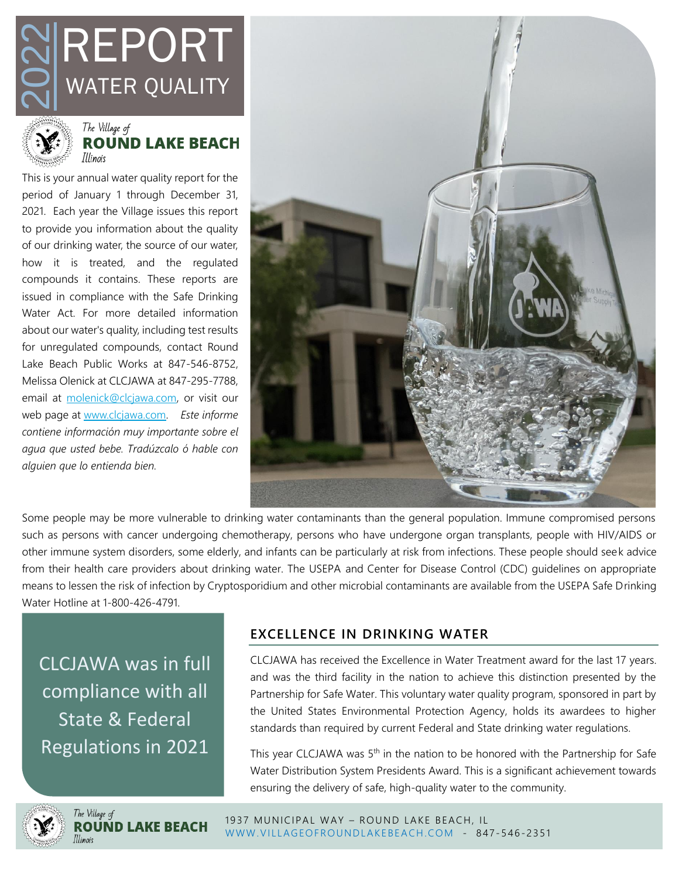



This is your annual water quality report for the period of January 1 through December 31, 2021. Each year the Village issues this report to provide you information about the quality of our drinking water, the source of our water, how it is treated, and the regulated compounds it contains. These reports are issued in compliance with the Safe Drinking Water Act. For more detailed information about our water's quality, including test results for unregulated compounds, contact Round Lake Beach Public Works at 847-546-8752, Melissa Olenick at CLCJAWA at 847-295-7788, email at [molenick@clcjawa.com,](mailto:molenick@clcjawa.com) or visit our web page at [www.clcjawa.com.](http://www.clcjawa.com/) *Este informe contiene informaciόn muy importante sobre el agua que usted bebe. Tradúzcalo ό hable con alguien que lo entienda bien.* **EXERCISE AND MATER QUALI**<br>
WATER QUALI<br>
WATER QUALI<br>
The Village of<br>
This is your annual water quality report<br>
period of January 1 through Decemb<br>
2021. Each year the Village issues this<br>
to provide you information about



Some people may be more vulnerable to drinking water contaminants than the general population. Immune compromised persons such as persons with cancer undergoing chemotherapy, persons who have undergone organ transplants, people with HIV/AIDS or other immune system disorders, some elderly, and infants can be particularly at risk from infections. These people should seek advice from their health care providers about drinking water. The USEPA and Center for Disease Control (CDC) guidelines on appropriate means to lessen the risk of infection by Cryptosporidium and other microbial contaminants are available from the USEPA Safe Drinking Water Hotline at 1-800-426-4791.

CLCJAWA was in full compliance with all State & Federal

# **EXCELLENCE IN DRINKING WATER**

CLCJAWA has received the Excellence in Water Treatment award for the last 17 years. and was the third facility in the nation to achieve this distinction presented by the Partnership for Safe Water. This voluntary water quality program, sponsored in part by the United States Environmental Protection Agency, holds its awardees to higher standards than required by current Federal and State drinking water regulations.

This year CLCJAWA was 5<sup>th</sup> in the nation to be honored with the Partnership for Safe Water Distribution System Presidents Award. This is a significant achievement towards ensuring the delivery of safe, high-quality water to the community.

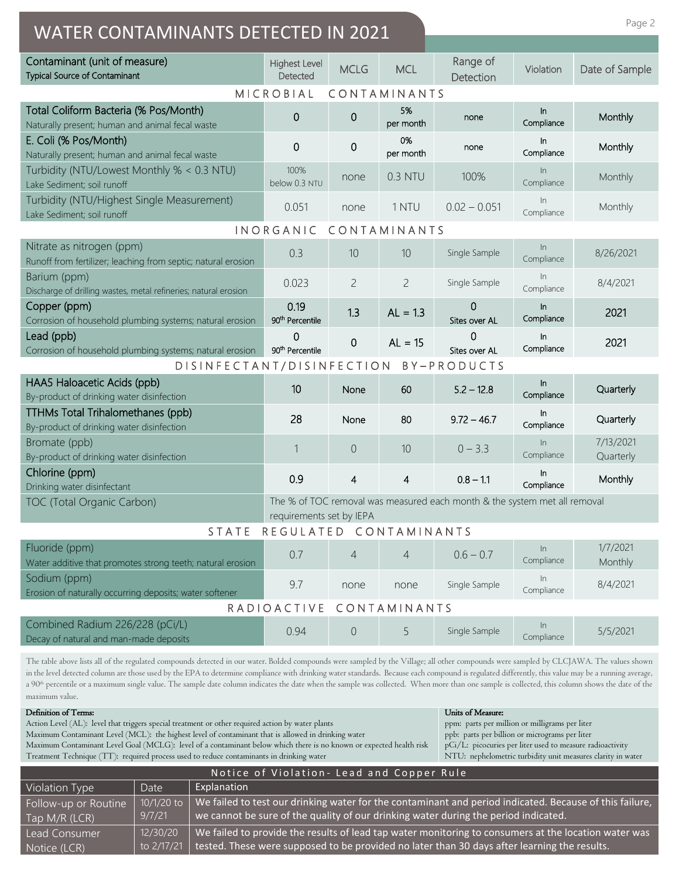| Page 2<br><b>WATER CONTAMINANTS DETECTED IN 2021</b>                                                                                                                                                                                                                                                                                                                                                                                                                                                                                                                                                                           |                                     |                |                 |                                                                           |                     |                        |  |  |
|--------------------------------------------------------------------------------------------------------------------------------------------------------------------------------------------------------------------------------------------------------------------------------------------------------------------------------------------------------------------------------------------------------------------------------------------------------------------------------------------------------------------------------------------------------------------------------------------------------------------------------|-------------------------------------|----------------|-----------------|---------------------------------------------------------------------------|---------------------|------------------------|--|--|
| Contaminant (unit of measure)<br><b>Typical Source of Contaminant</b>                                                                                                                                                                                                                                                                                                                                                                                                                                                                                                                                                          | <b>Highest Level</b><br>Detected    | <b>MCLG</b>    | <b>MCL</b>      | Range of<br>Detection                                                     | Violation           | Date of Sample         |  |  |
| MICROBIAL<br>CONTAMINANTS                                                                                                                                                                                                                                                                                                                                                                                                                                                                                                                                                                                                      |                                     |                |                 |                                                                           |                     |                        |  |  |
| Total Coliform Bacteria (% Pos/Month)<br>Naturally present; human and animal fecal waste                                                                                                                                                                                                                                                                                                                                                                                                                                                                                                                                       | 0                                   | 0              | 5%<br>per month | none                                                                      | In.<br>Compliance   | Monthly                |  |  |
| E. Coli (% Pos/Month)<br>Naturally present; human and animal fecal waste                                                                                                                                                                                                                                                                                                                                                                                                                                                                                                                                                       | 0                                   | 0              | 0%<br>per month | none                                                                      | In.<br>Compliance   | Monthly                |  |  |
| Turbidity (NTU/Lowest Monthly % < 0.3 NTU)<br>Lake Sediment; soil runoff                                                                                                                                                                                                                                                                                                                                                                                                                                                                                                                                                       | 100%<br>below 0.3 NTU               | none           | 0.3 NTU         | 100%                                                                      | In<br>Compliance    | Monthly                |  |  |
| Turbidity (NTU/Highest Single Measurement)<br>Lake Sediment; soil runoff                                                                                                                                                                                                                                                                                                                                                                                                                                                                                                                                                       | 0.051                               | none           | 1 NTU           | $0.02 - 0.051$                                                            | In<br>Compliance    | Monthly                |  |  |
| INORGANIC<br>CONTAMINANTS                                                                                                                                                                                                                                                                                                                                                                                                                                                                                                                                                                                                      |                                     |                |                 |                                                                           |                     |                        |  |  |
| Nitrate as nitrogen (ppm)<br>Runoff from fertilizer; leaching from septic; natural erosion                                                                                                                                                                                                                                                                                                                                                                                                                                                                                                                                     | 0.3                                 | 10             | 10              | Single Sample                                                             | $\ln$<br>Compliance | 8/26/2021              |  |  |
| Barium (ppm)<br>Discharge of drilling wastes, metal refineries; natural erosion                                                                                                                                                                                                                                                                                                                                                                                                                                                                                                                                                | 0.023                               | $\overline{c}$ | $\overline{c}$  | Single Sample                                                             | In<br>Compliance    | 8/4/2021               |  |  |
| Copper (ppm)<br>Corrosion of household plumbing systems; natural erosion                                                                                                                                                                                                                                                                                                                                                                                                                                                                                                                                                       | 0.19<br>90 <sup>th</sup> Percentile | 1.3            | $AL = 1.3$      | O<br>Sites over AL                                                        | In.<br>Compliance   | 2021                   |  |  |
| Lead (ppb)<br>Corrosion of household plumbing systems; natural erosion                                                                                                                                                                                                                                                                                                                                                                                                                                                                                                                                                         | 0<br>90 <sup>th</sup> Percentile    | $\mathbf 0$    | $AL = 15$       | 0<br>Sites over AL                                                        | $\ln$<br>Compliance | 2021                   |  |  |
| DISINFECTANT/DISINFECTION                                                                                                                                                                                                                                                                                                                                                                                                                                                                                                                                                                                                      |                                     |                |                 | BY-PRODUCTS                                                               |                     |                        |  |  |
| HAA5 Haloacetic Acids (ppb)<br>By-product of drinking water disinfection                                                                                                                                                                                                                                                                                                                                                                                                                                                                                                                                                       | 10                                  | None           | 60              | $5.2 - 12.8$                                                              | In.<br>Compliance   | Quarterly              |  |  |
| TTHMs Total Trihalomethanes (ppb)<br>By-product of drinking water disinfection                                                                                                                                                                                                                                                                                                                                                                                                                                                                                                                                                 | 28                                  | None           | 80              | $9.72 - 46.7$                                                             | In.<br>Compliance   | Quarterly              |  |  |
| Bromate (ppb)<br>By-product of drinking water disinfection                                                                                                                                                                                                                                                                                                                                                                                                                                                                                                                                                                     | 1                                   | $\overline{0}$ | 10              | $0 - 3.3$                                                                 | $\ln$<br>Compliance | 7/13/2021<br>Quarterly |  |  |
| Chlorine (ppm)<br>Drinking water disinfectant                                                                                                                                                                                                                                                                                                                                                                                                                                                                                                                                                                                  | 0.9                                 | 4              | 4               | $0.8 - 1.1$                                                               | In.<br>Compliance   | Monthly                |  |  |
| TOC (Total Organic Carbon)                                                                                                                                                                                                                                                                                                                                                                                                                                                                                                                                                                                                     | requirements set by IEPA            |                |                 | The % of TOC removal was measured each month & the system met all removal |                     |                        |  |  |
| <b>STATE</b>                                                                                                                                                                                                                                                                                                                                                                                                                                                                                                                                                                                                                   | REGULATED CONTAMINANTS              |                |                 |                                                                           |                     |                        |  |  |
| Fluoride (ppm)<br>Water additive that promotes strong teeth; natural erosion                                                                                                                                                                                                                                                                                                                                                                                                                                                                                                                                                   | 0.7                                 | 4              | 4               | $0.6 - 0.7$                                                               | In<br>Compliance    | 1/7/2021<br>Monthly    |  |  |
| Sodium (ppm)<br>Erosion of naturally occurring deposits; water softener                                                                                                                                                                                                                                                                                                                                                                                                                                                                                                                                                        | 9.7                                 | none           | none            | Single Sample                                                             | In<br>Compliance    | 8/4/2021               |  |  |
| RADIOACTIVE<br>CONTAMINANTS                                                                                                                                                                                                                                                                                                                                                                                                                                                                                                                                                                                                    |                                     |                |                 |                                                                           |                     |                        |  |  |
| Combined Radium 226/228 (pCi/L)<br>Decay of natural and man-made deposits                                                                                                                                                                                                                                                                                                                                                                                                                                                                                                                                                      | 0.94                                | $\overline{0}$ | 5               | Single Sample                                                             | In<br>Compliance    | 5/5/2021               |  |  |
| The table above lists all of the regulated compounds detected in our water. Bolded compounds were sampled by the Village; all other compounds were sampled by CLCJAWA. The values shown<br>in the level detected column are those used by the EPA to determine compliance with drinking water standards. Because each compound is regulated differently, this value may be a running average,<br>a 90 <sup>th</sup> percentile or a maximum single value. The sample date column indicates the date when the sample was collected. When more than one sample is collected, this column shows the date of the<br>maximum value. |                                     |                |                 |                                                                           |                     |                        |  |  |

| Definition of Terms:                                                                                                | Ur |
|---------------------------------------------------------------------------------------------------------------------|----|
| Action Level (AL): level that triggers special treatment or other required action by water plants                   | pp |
| Maximum Contaminant Level (MCL): the highest level of contaminant that is allowed in drinking water                 | pp |
| Maximum Contaminant Level Goal (MCLG): level of a contaminant below which there is no known or expected health risk | pC |
| Treatment Technique (TT): required process used to reduce contaminants in drinking water                            | N  |
|                                                                                                                     |    |

nits of Measure: ppm: parts per million or milligrams per liter ppb: parts per billion or micrograms per liter pCi/L: picocuries per liter used to measure radioactivity NTU: nephelometric turbidity unit measures clarity in water

| Notice of Violation - Lead and Copper Rule |              |                                                                                                         |  |  |
|--------------------------------------------|--------------|---------------------------------------------------------------------------------------------------------|--|--|
| Violation Type                             | Date         | Explanation                                                                                             |  |  |
| Follow-up or Routine                       | $10/1/20$ to | We failed to test our drinking water for the contaminant and period indicated. Because of this failure, |  |  |
| Tap M/R (LCR)                              | 9/7/21       | we cannot be sure of the quality of our drinking water during the period indicated.                     |  |  |
| Lead Consumer                              | 12/30/20     | We failed to provide the results of lead tap water monitoring to consumers at the location water was    |  |  |
| Notice (LCR)                               | to 2/17/21   | tested. These were supposed to be provided no later than 30 days after learning the results.            |  |  |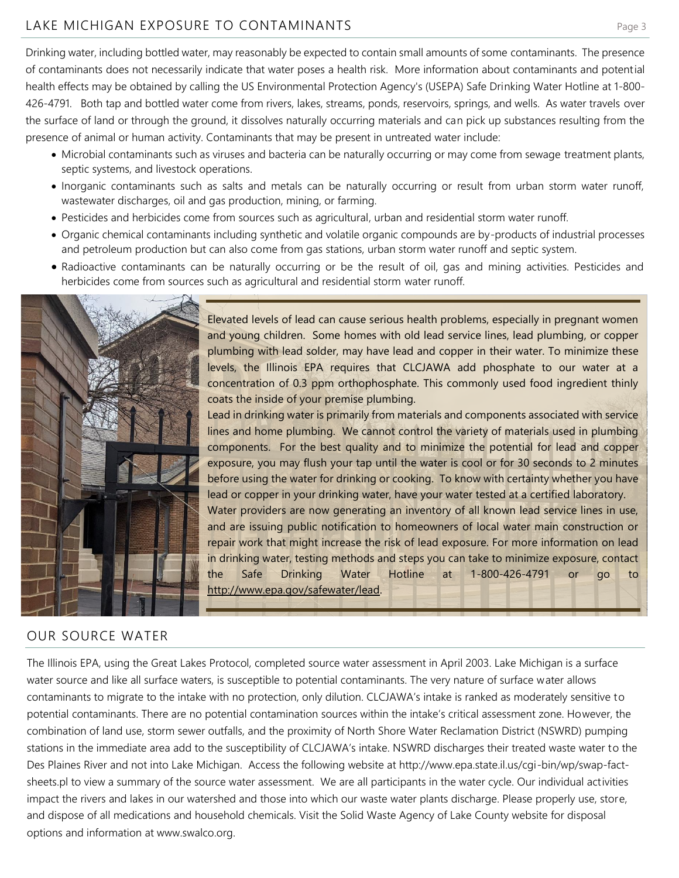## LAKE MICHIGAN EXPOSURE TO CONTAMINANTSPage 3

Drinking water, including bottled water, may reasonably be expected to contain small amounts of some contaminants. The presence of contaminants does not necessarily indicate that water poses a health risk. More information about contaminants and potential health effects may be obtained by calling the US Environmental Protection Agency's (USEPA) Safe Drinking Water Hotline at 1-800- 426-4791. Both tap and bottled water come from rivers, lakes, streams, ponds, reservoirs, springs, and wells. As water travels over the surface of land or through the ground, it dissolves naturally occurring materials and can pick up substances resulting from the presence of animal or human activity. Contaminants that may be present in untreated water include:

- Microbial contaminants such as viruses and bacteria can be naturally occurring or may come from sewage treatment plants, septic systems, and livestock operations.
- Inorganic contaminants such as salts and metals can be naturally occurring or result from urban storm water runoff, wastewater discharges, oil and gas production, mining, or farming.
- Pesticides and herbicides come from sources such as agricultural, urban and residential storm water runoff.
- Organic chemical contaminants including synthetic and volatile organic compounds are by-products of industrial processes and petroleum production but can also come from gas stations, urban storm water runoff and septic system.
- Radioactive contaminants can be naturally occurring or be the result of oil, gas and mining activities. Pesticides and herbicides come from sources such as agricultural and residential storm water runoff.



## OUR SOURCE WATER

The Illinois EPA, using the Great Lakes Protocol, completed source water assessment in April 2003. Lake Michigan is a surface water source and like all surface waters, is susceptible to potential contaminants. The very nature of surface water allows contaminants to migrate to the intake with no protection, only dilution. CLCJAWA's intake is ranked as moderately sensitive to potential contaminants. There are no potential contamination sources within the intake's critical assessment zone. However, the combination of land use, storm sewer outfalls, and the proximity of North Shore Water Reclamation District (NSWRD) pumping stations in the immediate area add to the susceptibility of CLCJAWA's intake. NSWRD discharges their treated waste water to the Des Plaines River and not into Lake Michigan. Access the following website at http://www.epa.state.il.us/cgi-bin/wp/swap-factsheets.pl to view a summary of the source water assessment. We are all participants in the water cycle. Our individual activities impact the rivers and lakes in our watershed and those into which our waste water plants discharge. Please properly use, store, and dispose of all medications and household chemicals. Visit the Solid Waste Agency of Lake County website for disposal options and information at www.swalco.org.